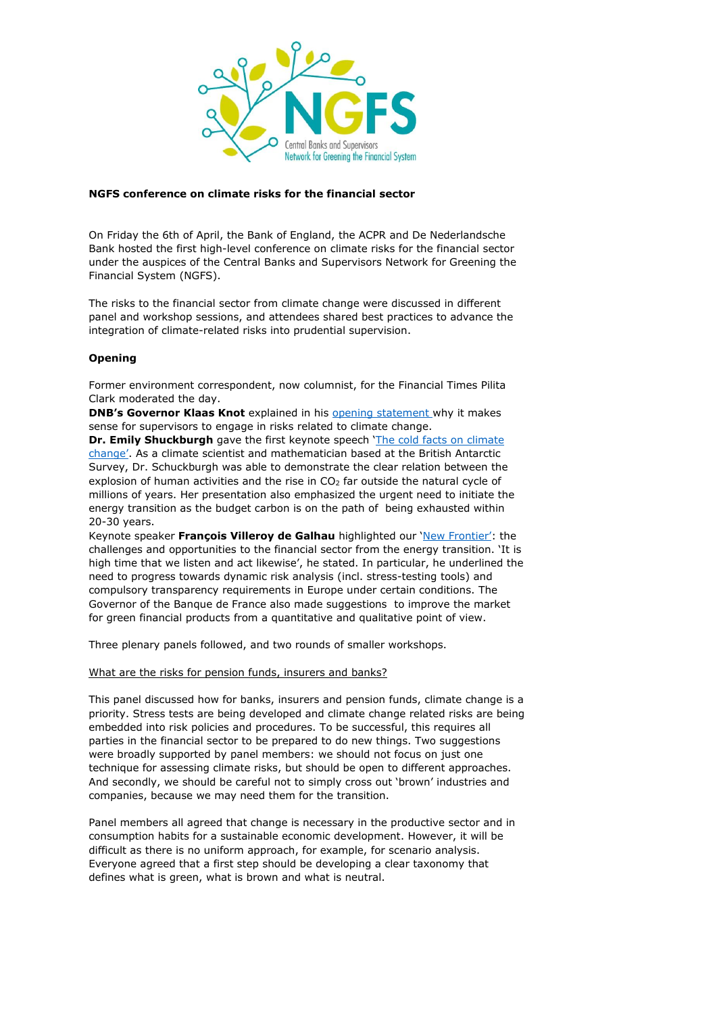

## **NGFS conference on climate risks for the financial sector**

On Friday the 6th of April, the Bank of England, the ACPR and De Nederlandsche Bank hosted the first high-level conference on climate risks for the financial sector under the auspices of the Central Banks and Supervisors Network for Greening the Financial System (NGFS).

The risks to the financial sector from climate change were discussed in different panel and workshop sessions, and attendees shared best practices to advance the integration of climate-related risks into prudential supervision.

# **Opening**

Former environment correspondent, now columnist, for the Financial Times Pilita Clark moderated the day.

**DNB's Governor Klaas Knot** explained in his [opening statement](https://www.dnb.nl/en/news/news-and-archive/Speeches2018/dnb374433.jsp) why it makes sense for supervisors to engage in risks related to climate change.

**Dr. Emily Shuckburgh** gave the first keynote speech '[The cold facts on climate](https://legacy.bas.ac.uk/staff-profiles/webspace/emsh/coldfacts.pdf)  [change'](https://legacy.bas.ac.uk/staff-profiles/webspace/emsh/coldfacts.pdf). As a climate scientist and mathematician based at the British Antarctic Survey, Dr. Schuckburgh was able to demonstrate the clear relation between the explosion of human activities and the rise in  $CO<sub>2</sub>$  far outside the natural cycle of millions of years. Her presentation also emphasized the urgent need to initiate the energy transition as the budget carbon is on the path of being exhausted within 20-30 years.

Keynote speaker **François Villeroy de Galhau** highlighted our '[New Frontier](https://www.google.nl/url?sa=t&rct=j&q=&esrc=s&source=web&cd=5&ved=0ahUKEwjwqt-X7-vaAhXD-6QKHZ0LAqoQFghMMAQ&url=https%3A%2F%2Fwww.banque-france.fr%2Fsites%2Fdefault%2Ffiles%2Fmedia%2F2018%2F04%2F06%2F06.04.2018_discours_fvg_international_climate_risk_conference_for_supervisors.pdf&usg=AOvVaw23LeX9mp56gFPQ_-LNwbOS)': the challenges and opportunities to the financial sector from the energy transition. 'It is high time that we listen and act likewise', he stated. In particular, he underlined the need to progress towards dynamic risk analysis (incl. stress-testing tools) and compulsory transparency requirements in Europe under certain conditions. The Governor of the Banque de France also made suggestions to improve the market for green financial products from a quantitative and qualitative point of view.

Three plenary panels followed, and two rounds of smaller workshops.

### What are the risks for pension funds, insurers and banks?

This panel discussed how for banks, insurers and pension funds, climate change is a priority. Stress tests are being developed and climate change related risks are being embedded into risk policies and procedures. To be successful, this requires all parties in the financial sector to be prepared to do new things. Two suggestions were broadly supported by panel members: we should not focus on just one technique for assessing climate risks, but should be open to different approaches. And secondly, we should be careful not to simply cross out 'brown' industries and companies, because we may need them for the transition.

Panel members all agreed that change is necessary in the productive sector and in consumption habits for a sustainable economic development. However, it will be difficult as there is no uniform approach, for example, for scenario analysis. Everyone agreed that a first step should be developing a clear taxonomy that defines what is green, what is brown and what is neutral.